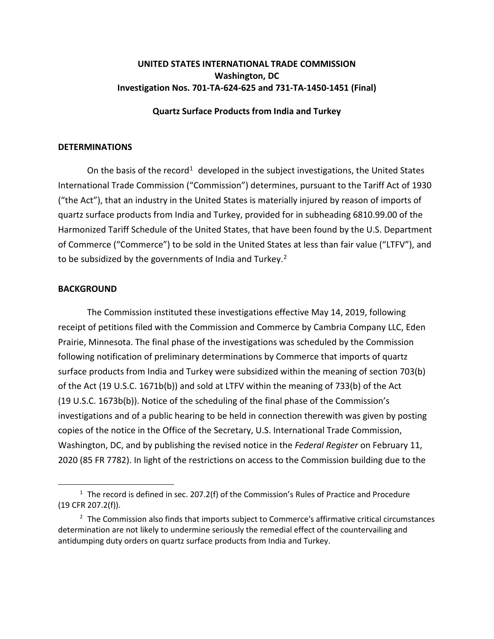## **UNITED STATES INTERNATIONAL TRADE COMMISSION Washington, DC Investigation Nos. 701-TA-624-625 and 731-TA-1450-1451 (Final)**

## **Quartz Surface Products from India and Turkey**

## **DETERMINATIONS**

On the basis of the record<sup>[1](#page-0-0)</sup> developed in the subject investigations, the United States International Trade Commission ("Commission") determines, pursuant to the Tariff Act of 1930 ("the Act"), that an industry in the United States is materially injured by reason of imports of quartz surface products from India and Turkey, provided for in subheading 6810.99.00 of the Harmonized Tariff Schedule of the United States, that have been found by the U.S. Department of Commerce ("Commerce") to be sold in the United States at less than fair value ("LTFV"), and to be subsidized by the governments of India and Turkey.<sup>[2](#page-0-1)</sup>

## **BACKGROUND**

The Commission instituted these investigations effective May 14, 2019, following receipt of petitions filed with the Commission and Commerce by Cambria Company LLC, Eden Prairie, Minnesota. The final phase of the investigations was scheduled by the Commission following notification of preliminary determinations by Commerce that imports of quartz surface products from India and Turkey were subsidized within the meaning of section 703(b) of the Act (19 U.S.C. 1671b(b)) and sold at LTFV within the meaning of 733(b) of the Act (19 U.S.C. 1673b(b)). Notice of the scheduling of the final phase of the Commission's investigations and of a public hearing to be held in connection therewith was given by posting copies of the notice in the Office of the Secretary, U.S. International Trade Commission, Washington, DC, and by publishing the revised notice in the *Federal Register* on February 11, 2020 (85 FR 7782). In light of the restrictions on access to the Commission building due to the

<span id="page-0-0"></span> $1$  The record is defined in sec. 207.2(f) of the Commission's Rules of Practice and Procedure (19 CFR 207.2(f)).

<span id="page-0-1"></span><sup>&</sup>lt;sup>2</sup> The Commission also finds that imports subject to Commerce's affirmative critical circumstances determination are not likely to undermine seriously the remedial effect of the countervailing and antidumping duty orders on quartz surface products from India and Turkey.